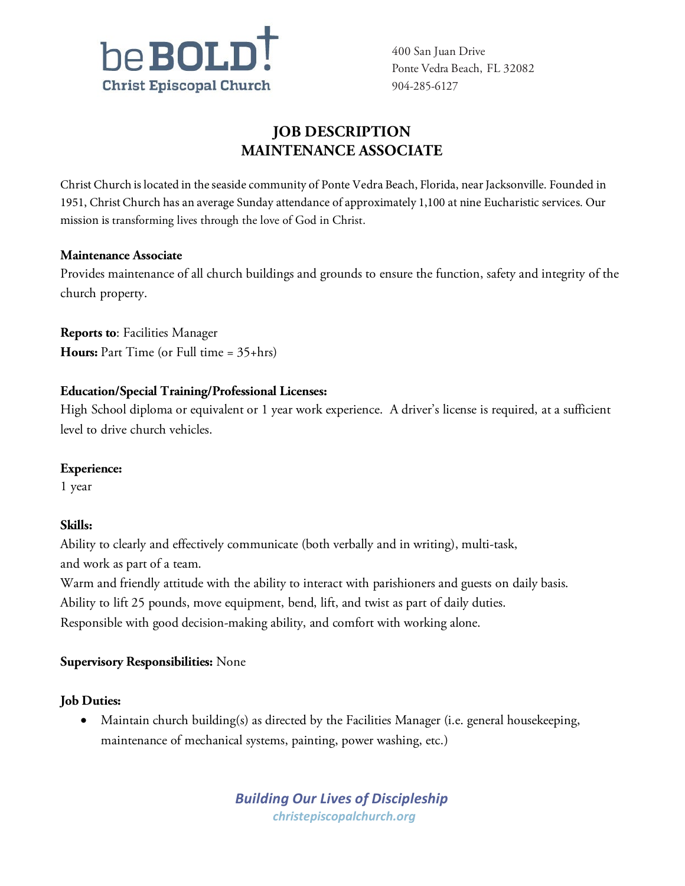

400 San Juan Drive Ponte Vedra Beach, FL 32082 904-285-6127

# **JOB DESCRIPTION MAINTENANCE ASSOCIATE**

Christ Church is located in the seaside community of Ponte Vedra Beach, Florida, near Jacksonville. Founded in 1951, Christ Church has an average Sunday attendance of approximately 1,100 at nine Eucharistic services. Our mission is transforming lives through the love of God in Christ.

### **Maintenance Associate**

Provides maintenance of all church buildings and grounds to ensure the function, safety and integrity of the church property.

**Reports to**: Facilities Manager **Hours:** Part Time (or Full time = 35+hrs)

## **Education/Special Training/Professional Licenses:**

High School diploma or equivalent or 1 year work experience. A driver's license is required, at a sufficient level to drive church vehicles.

## **Experience:**

1 year

## **Skills:**

Ability to clearly and effectively communicate (both verbally and in writing), multi-task, and work as part of a team.

Warm and friendly attitude with the ability to interact with parishioners and guests on daily basis. Ability to lift 25 pounds, move equipment, bend, lift, and twist as part of daily duties. Responsible with good decision-making ability, and comfort with working alone.

## **Supervisory Responsibilities:** None

## **Job Duties:**

• Maintain church building(s) as directed by the Facilities Manager (i.e. general housekeeping, maintenance of mechanical systems, painting, power washing, etc.)

> *Building Our Lives of Discipleship [christepiscopalchurch.org](http://www.christepiscopalchurch.org/)*